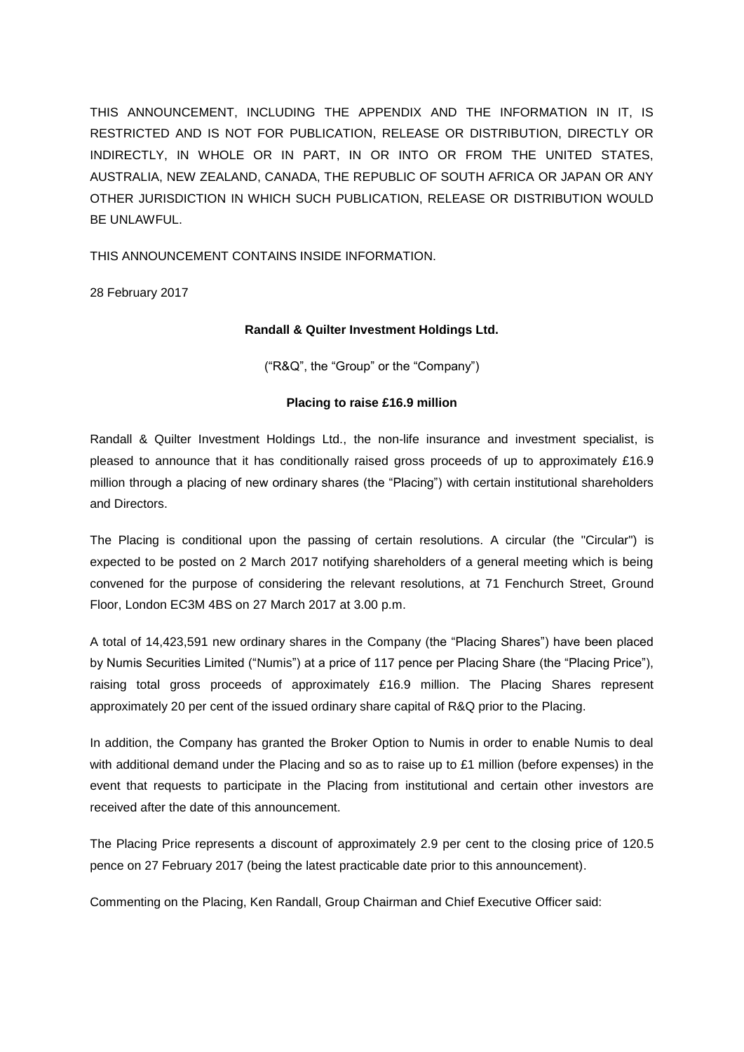THIS ANNOUNCEMENT, INCLUDING THE APPENDIX AND THE INFORMATION IN IT, IS RESTRICTED AND IS NOT FOR PUBLICATION, RELEASE OR DISTRIBUTION, DIRECTLY OR INDIRECTLY, IN WHOLE OR IN PART, IN OR INTO OR FROM THE UNITED STATES, AUSTRALIA, NEW ZEALAND, CANADA, THE REPUBLIC OF SOUTH AFRICA OR JAPAN OR ANY OTHER JURISDICTION IN WHICH SUCH PUBLICATION, RELEASE OR DISTRIBUTION WOULD BE UNLAWFUL.

THIS ANNOUNCEMENT CONTAINS INSIDE INFORMATION.

28 February 2017

# **Randall & Quilter Investment Holdings Ltd.**

("R&Q", the "Group" or the "Company")

# **Placing to raise £16.9 million**

Randall & Quilter Investment Holdings Ltd., the non-life insurance and investment specialist, is pleased to announce that it has conditionally raised gross proceeds of up to approximately £16.9 million through a placing of new ordinary shares (the "Placing") with certain institutional shareholders and Directors.

The Placing is conditional upon the passing of certain resolutions. A circular (the "Circular") is expected to be posted on 2 March 2017 notifying shareholders of a general meeting which is being convened for the purpose of considering the relevant resolutions, at 71 Fenchurch Street, Ground Floor, London EC3M 4BS on 27 March 2017 at 3.00 p.m.

A total of 14,423,591 new ordinary shares in the Company (the "Placing Shares") have been placed by Numis Securities Limited ("Numis") at a price of 117 pence per Placing Share (the "Placing Price"), raising total gross proceeds of approximately £16.9 million. The Placing Shares represent approximately 20 per cent of the issued ordinary share capital of R&Q prior to the Placing.

In addition, the Company has granted the Broker Option to Numis in order to enable Numis to deal with additional demand under the Placing and so as to raise up to £1 million (before expenses) in the event that requests to participate in the Placing from institutional and certain other investors are received after the date of this announcement.

The Placing Price represents a discount of approximately 2.9 per cent to the closing price of 120.5 pence on 27 February 2017 (being the latest practicable date prior to this announcement).

Commenting on the Placing, Ken Randall, Group Chairman and Chief Executive Officer said: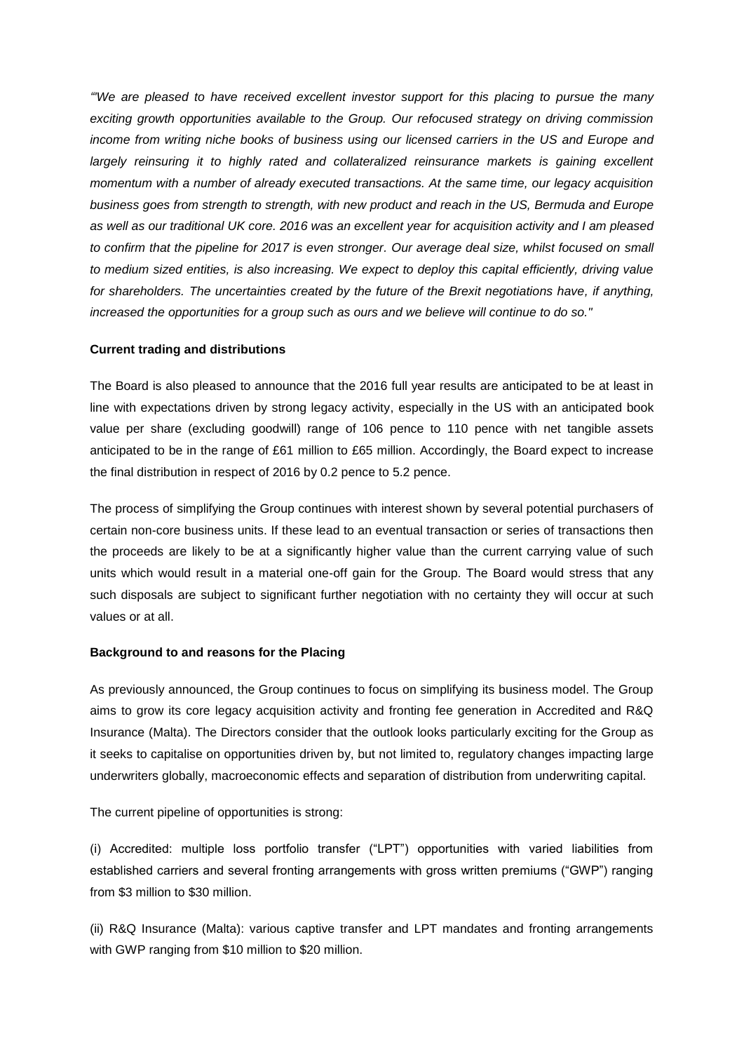*"'We are pleased to have received excellent investor support for this placing to pursue the many exciting growth opportunities available to the Group. Our refocused strategy on driving commission income from writing niche books of business using our licensed carriers in the US and Europe and largely reinsuring it to highly rated and collateralized reinsurance markets is gaining excellent momentum with a number of already executed transactions. At the same time, our legacy acquisition business goes from strength to strength, with new product and reach in the US, Bermuda and Europe as well as our traditional UK core. 2016 was an excellent year for acquisition activity and I am pleased to confirm that the pipeline for 2017 is even stronger. Our average deal size, whilst focused on small to medium sized entities, is also increasing. We expect to deploy this capital efficiently, driving value for shareholders. The uncertainties created by the future of the Brexit negotiations have, if anything, increased the opportunities for a group such as ours and we believe will continue to do so."*

# **Current trading and distributions**

The Board is also pleased to announce that the 2016 full year results are anticipated to be at least in line with expectations driven by strong legacy activity, especially in the US with an anticipated book value per share (excluding goodwill) range of 106 pence to 110 pence with net tangible assets anticipated to be in the range of £61 million to £65 million. Accordingly, the Board expect to increase the final distribution in respect of 2016 by 0.2 pence to 5.2 pence.

The process of simplifying the Group continues with interest shown by several potential purchasers of certain non-core business units. If these lead to an eventual transaction or series of transactions then the proceeds are likely to be at a significantly higher value than the current carrying value of such units which would result in a material one-off gain for the Group. The Board would stress that any such disposals are subject to significant further negotiation with no certainty they will occur at such values or at all.

#### **Background to and reasons for the Placing**

As previously announced, the Group continues to focus on simplifying its business model. The Group aims to grow its core legacy acquisition activity and fronting fee generation in Accredited and R&Q Insurance (Malta). The Directors consider that the outlook looks particularly exciting for the Group as it seeks to capitalise on opportunities driven by, but not limited to, regulatory changes impacting large underwriters globally, macroeconomic effects and separation of distribution from underwriting capital.

The current pipeline of opportunities is strong:

(i) Accredited: multiple loss portfolio transfer ("LPT") opportunities with varied liabilities from established carriers and several fronting arrangements with gross written premiums ("GWP") ranging from \$3 million to \$30 million.

(ii) R&Q Insurance (Malta): various captive transfer and LPT mandates and fronting arrangements with GWP ranging from \$10 million to \$20 million.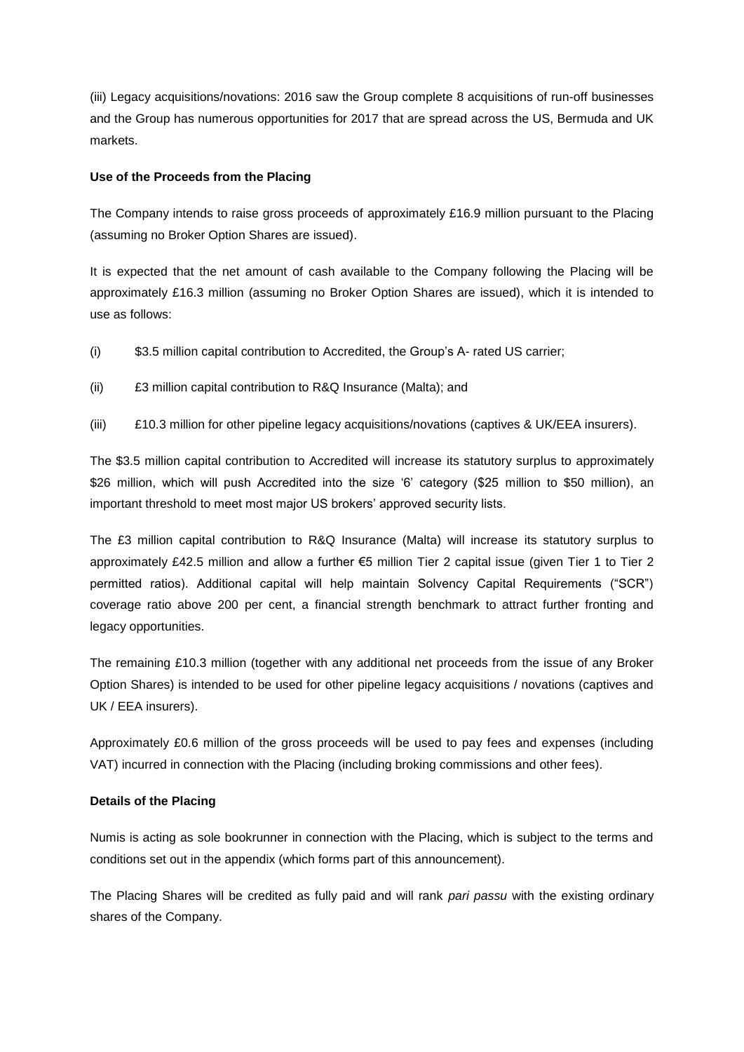(iii) Legacy acquisitions/novations: 2016 saw the Group complete 8 acquisitions of run-off businesses and the Group has numerous opportunities for 2017 that are spread across the US, Bermuda and UK markets.

# **Use of the Proceeds from the Placing**

The Company intends to raise gross proceeds of approximately £16.9 million pursuant to the Placing (assuming no Broker Option Shares are issued).

It is expected that the net amount of cash available to the Company following the Placing will be approximately £16.3 million (assuming no Broker Option Shares are issued), which it is intended to use as follows:

- (i) \$3.5 million capital contribution to Accredited, the Group's A- rated US carrier;
- (ii) £3 million capital contribution to R&Q Insurance (Malta); and
- (iii) £10.3 million for other pipeline legacy acquisitions/novations (captives & UK/EEA insurers).

The \$3.5 million capital contribution to Accredited will increase its statutory surplus to approximately \$26 million, which will push Accredited into the size '6' category (\$25 million to \$50 million), an important threshold to meet most major US brokers' approved security lists.

The £3 million capital contribution to R&Q Insurance (Malta) will increase its statutory surplus to approximately £42.5 million and allow a further €5 million Tier 2 capital issue (given Tier 1 to Tier 2 permitted ratios). Additional capital will help maintain Solvency Capital Requirements ("SCR") coverage ratio above 200 per cent, a financial strength benchmark to attract further fronting and legacy opportunities.

The remaining £10.3 million (together with any additional net proceeds from the issue of any Broker Option Shares) is intended to be used for other pipeline legacy acquisitions / novations (captives and UK / EEA insurers).

Approximately £0.6 million of the gross proceeds will be used to pay fees and expenses (including VAT) incurred in connection with the Placing (including broking commissions and other fees).

# **Details of the Placing**

Numis is acting as sole bookrunner in connection with the Placing, which is subject to the terms and conditions set out in the appendix (which forms part of this announcement).

The Placing Shares will be credited as fully paid and will rank *pari passu* with the existing ordinary shares of the Company.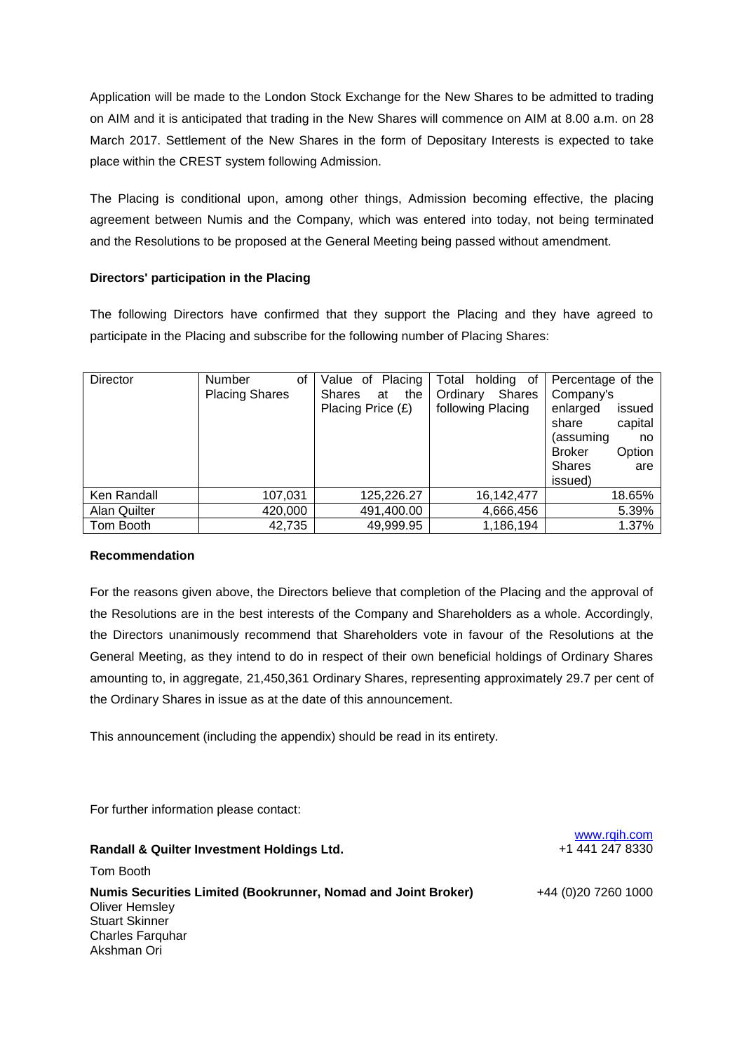Application will be made to the London Stock Exchange for the New Shares to be admitted to trading on AIM and it is anticipated that trading in the New Shares will commence on AIM at 8.00 a.m. on 28 March 2017. Settlement of the New Shares in the form of Depositary Interests is expected to take place within the CREST system following Admission.

The Placing is conditional upon, among other things, Admission becoming effective, the placing agreement between Numis and the Company, which was entered into today, not being terminated and the Resolutions to be proposed at the General Meeting being passed without amendment.

# **Directors' participation in the Placing**

The following Directors have confirmed that they support the Placing and they have agreed to participate in the Placing and subscribe for the following number of Placing Shares:

| <b>Director</b> | <b>Number</b><br>οf<br><b>Placing Shares</b> | Placing<br>Value of<br><b>Shares</b><br>the<br>at<br>Placing Price (£) | Total<br>holding of<br>Shares<br>Ordinary<br>following Placing | Percentage of the<br>Company's<br>enlarged<br>issued<br>share<br>capital<br>(assuming<br>no<br><b>Broker</b><br>Option<br><b>Shares</b><br>are<br>issued) |
|-----------------|----------------------------------------------|------------------------------------------------------------------------|----------------------------------------------------------------|-----------------------------------------------------------------------------------------------------------------------------------------------------------|
| Ken Randall     | 107,031                                      | 125,226.27                                                             | 16, 142, 477                                                   | 18.65%                                                                                                                                                    |
| Alan Quilter    | 420,000                                      | 491,400.00                                                             | 4,666,456                                                      | 5.39%                                                                                                                                                     |
| Tom Booth       | 42,735                                       | 49,999.95                                                              | 1,186,194                                                      | 1.37%                                                                                                                                                     |

# **Recommendation**

For the reasons given above, the Directors believe that completion of the Placing and the approval of the Resolutions are in the best interests of the Company and Shareholders as a whole. Accordingly, the Directors unanimously recommend that Shareholders vote in favour of the Resolutions at the General Meeting, as they intend to do in respect of their own beneficial holdings of Ordinary Shares amounting to, in aggregate, 21,450,361 Ordinary Shares, representing approximately 29.7 per cent of the Ordinary Shares in issue as at the date of this announcement.

This announcement (including the appendix) should be read in its entirety.

For further information please contact:

#### **Randall & Quilter Investment Holdings Ltd.**

Tom Booth **Numis Securities Limited (Bookrunner, Nomad and Joint Broker)** Oliver Hemsley Stuart Skinner Charles Farquhar Akshman Ori

[www.rqih.com](http://www.rqih.com/) +1 441 247 8330

+44 (0)20 7260 1000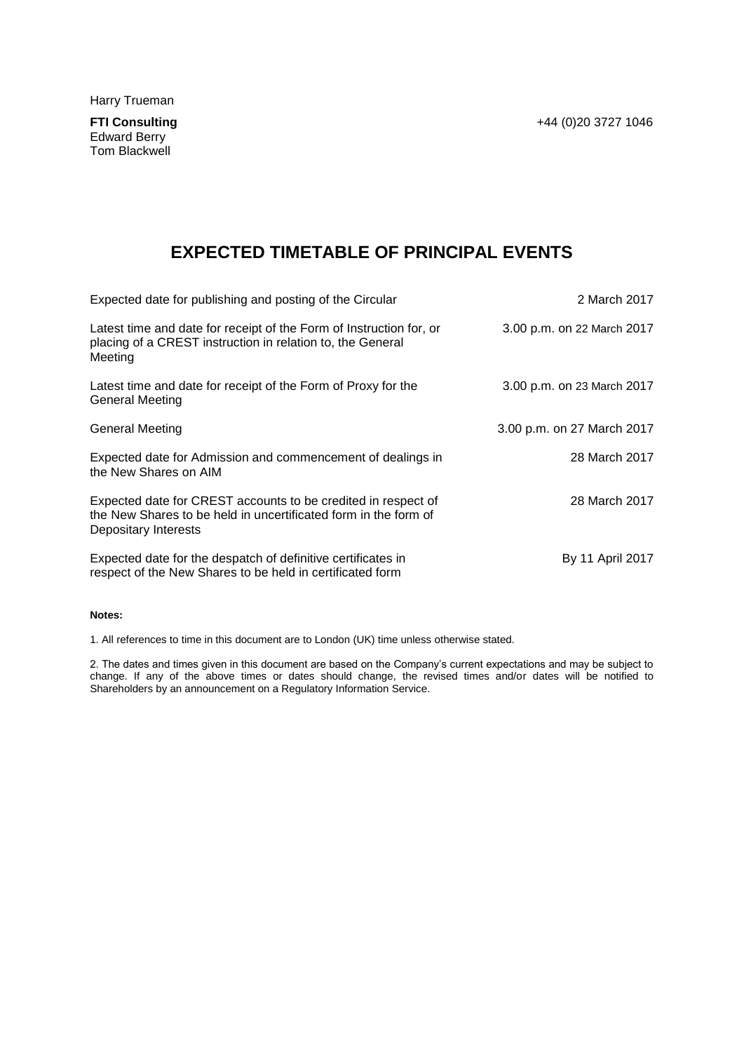Harry Trueman

**FTI Consulting** Edward Berry Tom Blackwell

# **EXPECTED TIMETABLE OF PRINCIPAL EVENTS**

| Expected date for publishing and posting of the Circular                                                                                                 | 2 March 2017               |
|----------------------------------------------------------------------------------------------------------------------------------------------------------|----------------------------|
| Latest time and date for receipt of the Form of Instruction for, or<br>placing of a CREST instruction in relation to, the General<br>Meeting             | 3.00 p.m. on 22 March 2017 |
| Latest time and date for receipt of the Form of Proxy for the<br><b>General Meeting</b>                                                                  | 3.00 p.m. on 23 March 2017 |
| <b>General Meeting</b>                                                                                                                                   | 3.00 p.m. on 27 March 2017 |
| Expected date for Admission and commencement of dealings in<br>the New Shares on AIM                                                                     | 28 March 2017              |
| Expected date for CREST accounts to be credited in respect of<br>the New Shares to be held in uncertificated form in the form of<br>Depositary Interests | 28 March 2017              |
| Expected date for the despatch of definitive certificates in<br>respect of the New Shares to be held in certificated form                                | By 11 April 2017           |

#### **Notes:**

1. All references to time in this document are to London (UK) time unless otherwise stated.

2. The dates and times given in this document are based on the Company's current expectations and may be subject to change. If any of the above times or dates should change, the revised times and/or dates will be notified to Shareholders by an announcement on a Regulatory Information Service.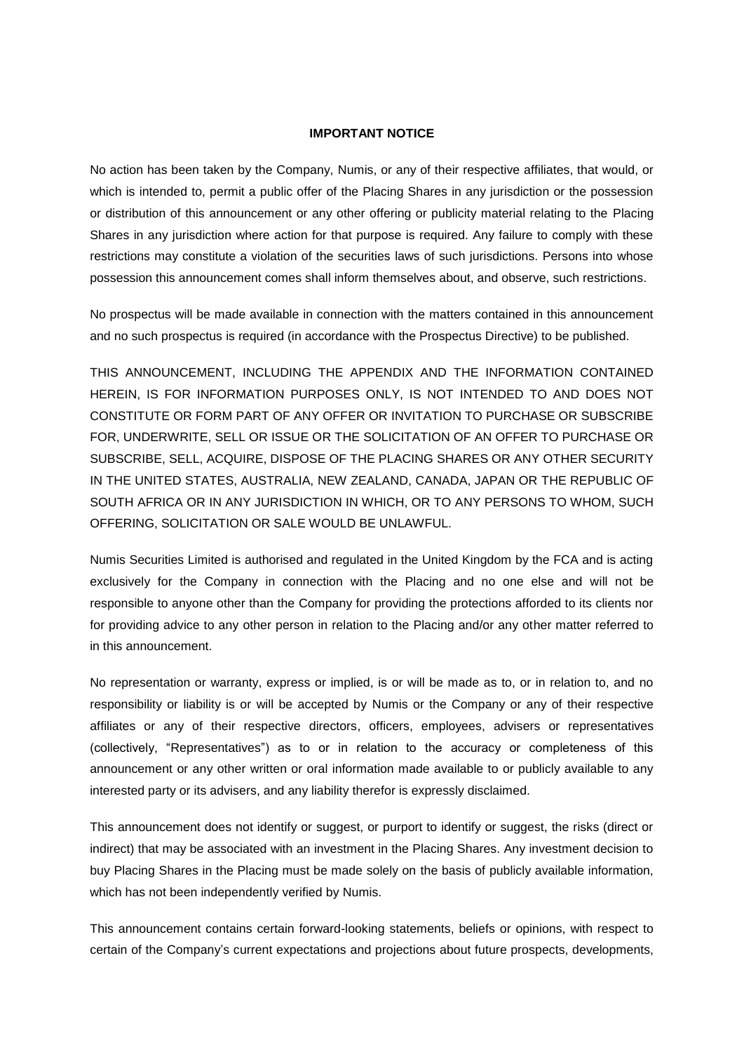#### **IMPORTANT NOTICE**

No action has been taken by the Company, Numis, or any of their respective affiliates, that would, or which is intended to, permit a public offer of the Placing Shares in any jurisdiction or the possession or distribution of this announcement or any other offering or publicity material relating to the Placing Shares in any jurisdiction where action for that purpose is required. Any failure to comply with these restrictions may constitute a violation of the securities laws of such jurisdictions. Persons into whose possession this announcement comes shall inform themselves about, and observe, such restrictions.

No prospectus will be made available in connection with the matters contained in this announcement and no such prospectus is required (in accordance with the Prospectus Directive) to be published.

THIS ANNOUNCEMENT, INCLUDING THE APPENDIX AND THE INFORMATION CONTAINED HEREIN, IS FOR INFORMATION PURPOSES ONLY, IS NOT INTENDED TO AND DOES NOT CONSTITUTE OR FORM PART OF ANY OFFER OR INVITATION TO PURCHASE OR SUBSCRIBE FOR, UNDERWRITE, SELL OR ISSUE OR THE SOLICITATION OF AN OFFER TO PURCHASE OR SUBSCRIBE, SELL, ACQUIRE, DISPOSE OF THE PLACING SHARES OR ANY OTHER SECURITY IN THE UNITED STATES, AUSTRALIA, NEW ZEALAND, CANADA, JAPAN OR THE REPUBLIC OF SOUTH AFRICA OR IN ANY JURISDICTION IN WHICH, OR TO ANY PERSONS TO WHOM, SUCH OFFERING, SOLICITATION OR SALE WOULD BE UNLAWFUL.

Numis Securities Limited is authorised and regulated in the United Kingdom by the FCA and is acting exclusively for the Company in connection with the Placing and no one else and will not be responsible to anyone other than the Company for providing the protections afforded to its clients nor for providing advice to any other person in relation to the Placing and/or any other matter referred to in this announcement.

No representation or warranty, express or implied, is or will be made as to, or in relation to, and no responsibility or liability is or will be accepted by Numis or the Company or any of their respective affiliates or any of their respective directors, officers, employees, advisers or representatives (collectively, "Representatives") as to or in relation to the accuracy or completeness of this announcement or any other written or oral information made available to or publicly available to any interested party or its advisers, and any liability therefor is expressly disclaimed.

This announcement does not identify or suggest, or purport to identify or suggest, the risks (direct or indirect) that may be associated with an investment in the Placing Shares. Any investment decision to buy Placing Shares in the Placing must be made solely on the basis of publicly available information, which has not been independently verified by Numis.

This announcement contains certain forward-looking statements, beliefs or opinions, with respect to certain of the Company's current expectations and projections about future prospects, developments,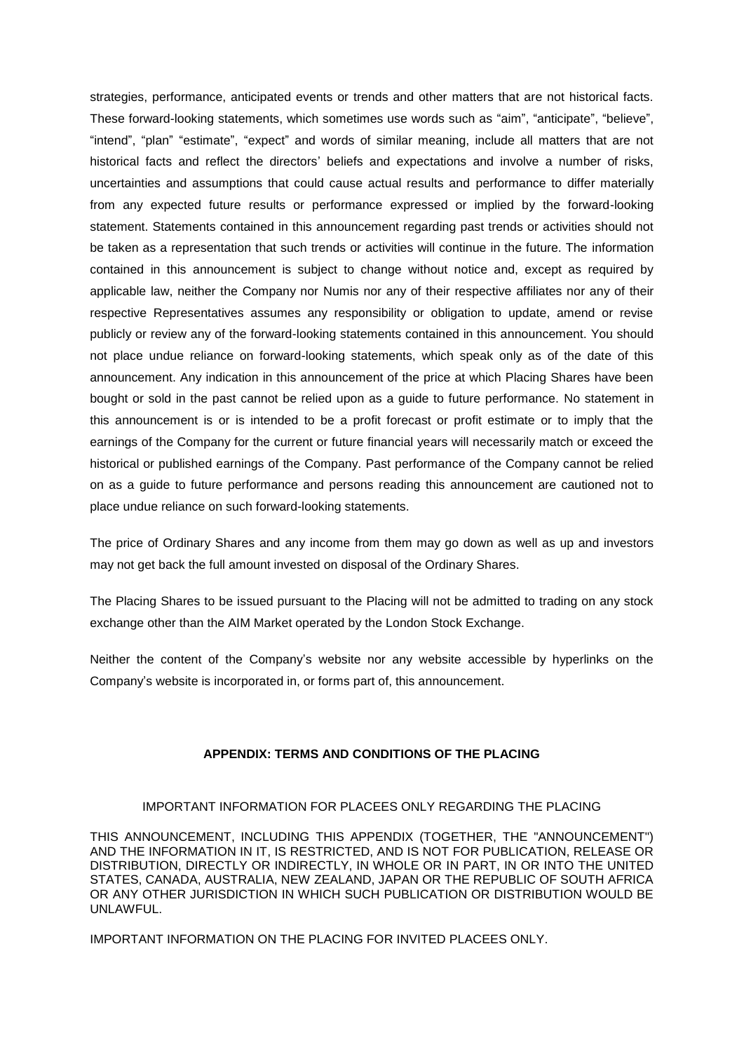strategies, performance, anticipated events or trends and other matters that are not historical facts. These forward-looking statements, which sometimes use words such as "aim", "anticipate", "believe", "intend", "plan" "estimate", "expect" and words of similar meaning, include all matters that are not historical facts and reflect the directors' beliefs and expectations and involve a number of risks, uncertainties and assumptions that could cause actual results and performance to differ materially from any expected future results or performance expressed or implied by the forward-looking statement. Statements contained in this announcement regarding past trends or activities should not be taken as a representation that such trends or activities will continue in the future. The information contained in this announcement is subject to change without notice and, except as required by applicable law, neither the Company nor Numis nor any of their respective affiliates nor any of their respective Representatives assumes any responsibility or obligation to update, amend or revise publicly or review any of the forward-looking statements contained in this announcement. You should not place undue reliance on forward-looking statements, which speak only as of the date of this announcement. Any indication in this announcement of the price at which Placing Shares have been bought or sold in the past cannot be relied upon as a guide to future performance. No statement in this announcement is or is intended to be a profit forecast or profit estimate or to imply that the earnings of the Company for the current or future financial years will necessarily match or exceed the historical or published earnings of the Company. Past performance of the Company cannot be relied on as a guide to future performance and persons reading this announcement are cautioned not to place undue reliance on such forward-looking statements.

The price of Ordinary Shares and any income from them may go down as well as up and investors may not get back the full amount invested on disposal of the Ordinary Shares.

The Placing Shares to be issued pursuant to the Placing will not be admitted to trading on any stock exchange other than the AIM Market operated by the London Stock Exchange.

Neither the content of the Company's website nor any website accessible by hyperlinks on the Company's website is incorporated in, or forms part of, this announcement.

#### **APPENDIX: TERMS AND CONDITIONS OF THE PLACING**

#### IMPORTANT INFORMATION FOR PLACEES ONLY REGARDING THE PLACING

THIS ANNOUNCEMENT, INCLUDING THIS APPENDIX (TOGETHER, THE "ANNOUNCEMENT") AND THE INFORMATION IN IT, IS RESTRICTED, AND IS NOT FOR PUBLICATION, RELEASE OR DISTRIBUTION, DIRECTLY OR INDIRECTLY, IN WHOLE OR IN PART, IN OR INTO THE UNITED STATES, CANADA, AUSTRALIA, NEW ZEALAND, JAPAN OR THE REPUBLIC OF SOUTH AFRICA OR ANY OTHER JURISDICTION IN WHICH SUCH PUBLICATION OR DISTRIBUTION WOULD BE UNLAWFUL.

IMPORTANT INFORMATION ON THE PLACING FOR INVITED PLACEES ONLY.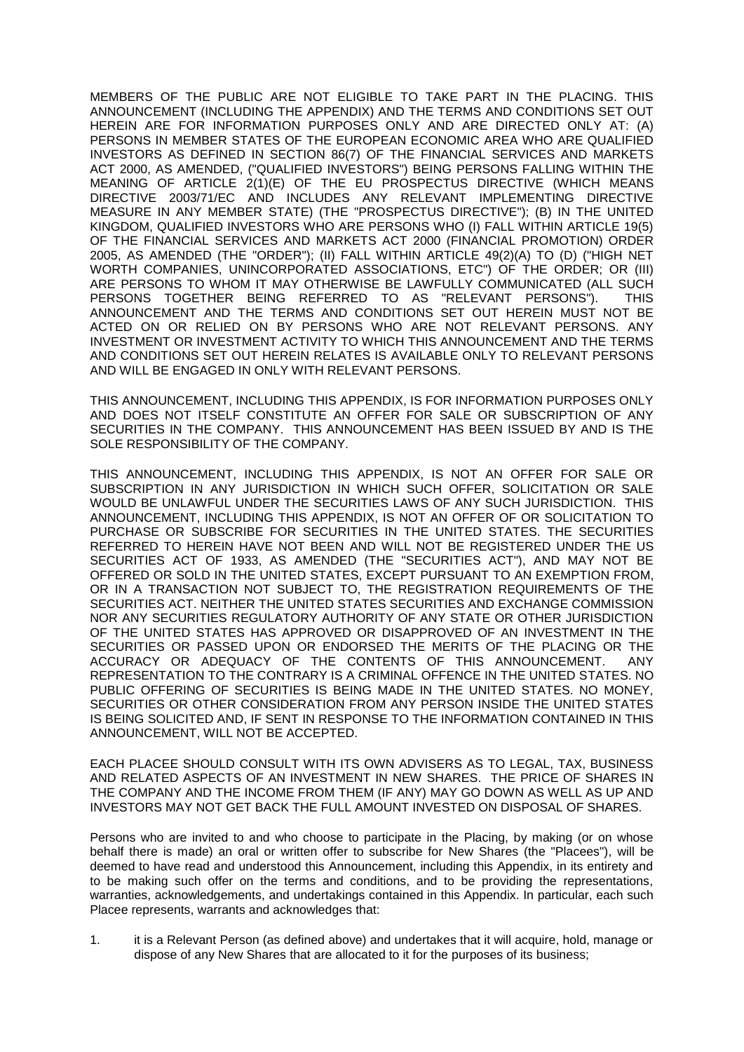MEMBERS OF THE PUBLIC ARE NOT ELIGIBLE TO TAKE PART IN THE PLACING. THIS ANNOUNCEMENT (INCLUDING THE APPENDIX) AND THE TERMS AND CONDITIONS SET OUT HEREIN ARE FOR INFORMATION PURPOSES ONLY AND ARE DIRECTED ONLY AT: (A) PERSONS IN MEMBER STATES OF THE EUROPEAN ECONOMIC AREA WHO ARE QUALIFIED INVESTORS AS DEFINED IN SECTION 86(7) OF THE FINANCIAL SERVICES AND MARKETS ACT 2000, AS AMENDED, ("QUALIFIED INVESTORS") BEING PERSONS FALLING WITHIN THE MEANING OF ARTICLE 2(1)(E) OF THE EU PROSPECTUS DIRECTIVE (WHICH MEANS DIRECTIVE 2003/71/EC AND INCLUDES ANY RELEVANT IMPLEMENTING DIRECTIVE MEASURE IN ANY MEMBER STATE) (THE "PROSPECTUS DIRECTIVE"); (B) IN THE UNITED KINGDOM, QUALIFIED INVESTORS WHO ARE PERSONS WHO (I) FALL WITHIN ARTICLE 19(5) OF THE FINANCIAL SERVICES AND MARKETS ACT 2000 (FINANCIAL PROMOTION) ORDER 2005, AS AMENDED (THE "ORDER"); (II) FALL WITHIN ARTICLE 49(2)(A) TO (D) ("HIGH NET WORTH COMPANIES, UNINCORPORATED ASSOCIATIONS, ETC") OF THE ORDER; OR (III) ARE PERSONS TO WHOM IT MAY OTHERWISE BE LAWFULLY COMMUNICATED (ALL SUCH PERSONS TOGETHER BEING REFERRED TO AS "RELEVANT PERSONS"). THIS ANNOUNCEMENT AND THE TERMS AND CONDITIONS SET OUT HEREIN MUST NOT BE ACTED ON OR RELIED ON BY PERSONS WHO ARE NOT RELEVANT PERSONS. ANY INVESTMENT OR INVESTMENT ACTIVITY TO WHICH THIS ANNOUNCEMENT AND THE TERMS AND CONDITIONS SET OUT HEREIN RELATES IS AVAILABLE ONLY TO RELEVANT PERSONS AND WILL BE ENGAGED IN ONLY WITH RELEVANT PERSONS.

THIS ANNOUNCEMENT, INCLUDING THIS APPENDIX, IS FOR INFORMATION PURPOSES ONLY AND DOES NOT ITSELF CONSTITUTE AN OFFER FOR SALE OR SUBSCRIPTION OF ANY SECURITIES IN THE COMPANY. THIS ANNOUNCEMENT HAS BEEN ISSUED BY AND IS THE SOLE RESPONSIBILITY OF THE COMPANY.

THIS ANNOUNCEMENT, INCLUDING THIS APPENDIX, IS NOT AN OFFER FOR SALE OR SUBSCRIPTION IN ANY JURISDICTION IN WHICH SUCH OFFER, SOLICITATION OR SALE WOULD BE UNLAWFUL UNDER THE SECURITIES LAWS OF ANY SUCH JURISDICTION. THIS ANNOUNCEMENT, INCLUDING THIS APPENDIX, IS NOT AN OFFER OF OR SOLICITATION TO PURCHASE OR SUBSCRIBE FOR SECURITIES IN THE UNITED STATES. THE SECURITIES REFERRED TO HEREIN HAVE NOT BEEN AND WILL NOT BE REGISTERED UNDER THE US SECURITIES ACT OF 1933, AS AMENDED (THE "SECURITIES ACT"), AND MAY NOT BE OFFERED OR SOLD IN THE UNITED STATES, EXCEPT PURSUANT TO AN EXEMPTION FROM, OR IN A TRANSACTION NOT SUBJECT TO, THE REGISTRATION REQUIREMENTS OF THE SECURITIES ACT. NEITHER THE UNITED STATES SECURITIES AND EXCHANGE COMMISSION NOR ANY SECURITIES REGULATORY AUTHORITY OF ANY STATE OR OTHER JURISDICTION OF THE UNITED STATES HAS APPROVED OR DISAPPROVED OF AN INVESTMENT IN THE SECURITIES OR PASSED UPON OR ENDORSED THE MERITS OF THE PLACING OR THE ACCURACY OR ADEQUACY OF THE CONTENTS OF THIS ANNOUNCEMENT. ANY REPRESENTATION TO THE CONTRARY IS A CRIMINAL OFFENCE IN THE UNITED STATES. NO PUBLIC OFFERING OF SECURITIES IS BEING MADE IN THE UNITED STATES. NO MONEY, SECURITIES OR OTHER CONSIDERATION FROM ANY PERSON INSIDE THE UNITED STATES IS BEING SOLICITED AND, IF SENT IN RESPONSE TO THE INFORMATION CONTAINED IN THIS ANNOUNCEMENT, WILL NOT BE ACCEPTED.

EACH PLACEE SHOULD CONSULT WITH ITS OWN ADVISERS AS TO LEGAL, TAX, BUSINESS AND RELATED ASPECTS OF AN INVESTMENT IN NEW SHARES. THE PRICE OF SHARES IN THE COMPANY AND THE INCOME FROM THEM (IF ANY) MAY GO DOWN AS WELL AS UP AND INVESTORS MAY NOT GET BACK THE FULL AMOUNT INVESTED ON DISPOSAL OF SHARES.

Persons who are invited to and who choose to participate in the Placing, by making (or on whose behalf there is made) an oral or written offer to subscribe for New Shares (the "Placees"), will be deemed to have read and understood this Announcement, including this Appendix, in its entirety and to be making such offer on the terms and conditions, and to be providing the representations, warranties, acknowledgements, and undertakings contained in this Appendix. In particular, each such Placee represents, warrants and acknowledges that:

1. it is a Relevant Person (as defined above) and undertakes that it will acquire, hold, manage or dispose of any New Shares that are allocated to it for the purposes of its business;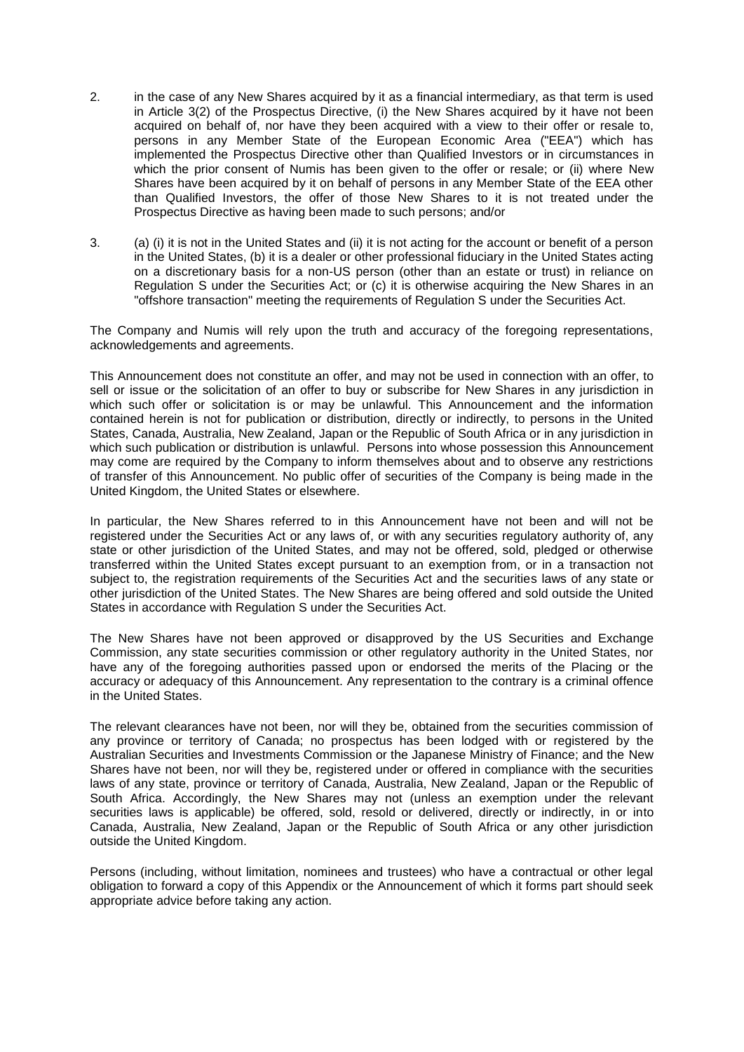- 2. in the case of any New Shares acquired by it as a financial intermediary, as that term is used in Article 3(2) of the Prospectus Directive, (i) the New Shares acquired by it have not been acquired on behalf of, nor have they been acquired with a view to their offer or resale to, persons in any Member State of the European Economic Area ("EEA") which has implemented the Prospectus Directive other than Qualified Investors or in circumstances in which the prior consent of Numis has been given to the offer or resale; or (ii) where New Shares have been acquired by it on behalf of persons in any Member State of the EEA other than Qualified Investors, the offer of those New Shares to it is not treated under the Prospectus Directive as having been made to such persons; and/or
- 3. (a) (i) it is not in the United States and (ii) it is not acting for the account or benefit of a person in the United States, (b) it is a dealer or other professional fiduciary in the United States acting on a discretionary basis for a non-US person (other than an estate or trust) in reliance on Regulation S under the Securities Act; or (c) it is otherwise acquiring the New Shares in an "offshore transaction" meeting the requirements of Regulation S under the Securities Act.

The Company and Numis will rely upon the truth and accuracy of the foregoing representations, acknowledgements and agreements.

This Announcement does not constitute an offer, and may not be used in connection with an offer, to sell or issue or the solicitation of an offer to buy or subscribe for New Shares in any jurisdiction in which such offer or solicitation is or may be unlawful. This Announcement and the information contained herein is not for publication or distribution, directly or indirectly, to persons in the United States, Canada, Australia, New Zealand, Japan or the Republic of South Africa or in any jurisdiction in which such publication or distribution is unlawful. Persons into whose possession this Announcement may come are required by the Company to inform themselves about and to observe any restrictions of transfer of this Announcement. No public offer of securities of the Company is being made in the United Kingdom, the United States or elsewhere.

In particular, the New Shares referred to in this Announcement have not been and will not be registered under the Securities Act or any laws of, or with any securities regulatory authority of, any state or other jurisdiction of the United States, and may not be offered, sold, pledged or otherwise transferred within the United States except pursuant to an exemption from, or in a transaction not subject to, the registration requirements of the Securities Act and the securities laws of any state or other jurisdiction of the United States. The New Shares are being offered and sold outside the United States in accordance with Regulation S under the Securities Act.

The New Shares have not been approved or disapproved by the US Securities and Exchange Commission, any state securities commission or other regulatory authority in the United States, nor have any of the foregoing authorities passed upon or endorsed the merits of the Placing or the accuracy or adequacy of this Announcement. Any representation to the contrary is a criminal offence in the United States.

The relevant clearances have not been, nor will they be, obtained from the securities commission of any province or territory of Canada; no prospectus has been lodged with or registered by the Australian Securities and Investments Commission or the Japanese Ministry of Finance; and the New Shares have not been, nor will they be, registered under or offered in compliance with the securities laws of any state, province or territory of Canada, Australia, New Zealand, Japan or the Republic of South Africa. Accordingly, the New Shares may not (unless an exemption under the relevant securities laws is applicable) be offered, sold, resold or delivered, directly or indirectly, in or into Canada, Australia, New Zealand, Japan or the Republic of South Africa or any other jurisdiction outside the United Kingdom.

Persons (including, without limitation, nominees and trustees) who have a contractual or other legal obligation to forward a copy of this Appendix or the Announcement of which it forms part should seek appropriate advice before taking any action.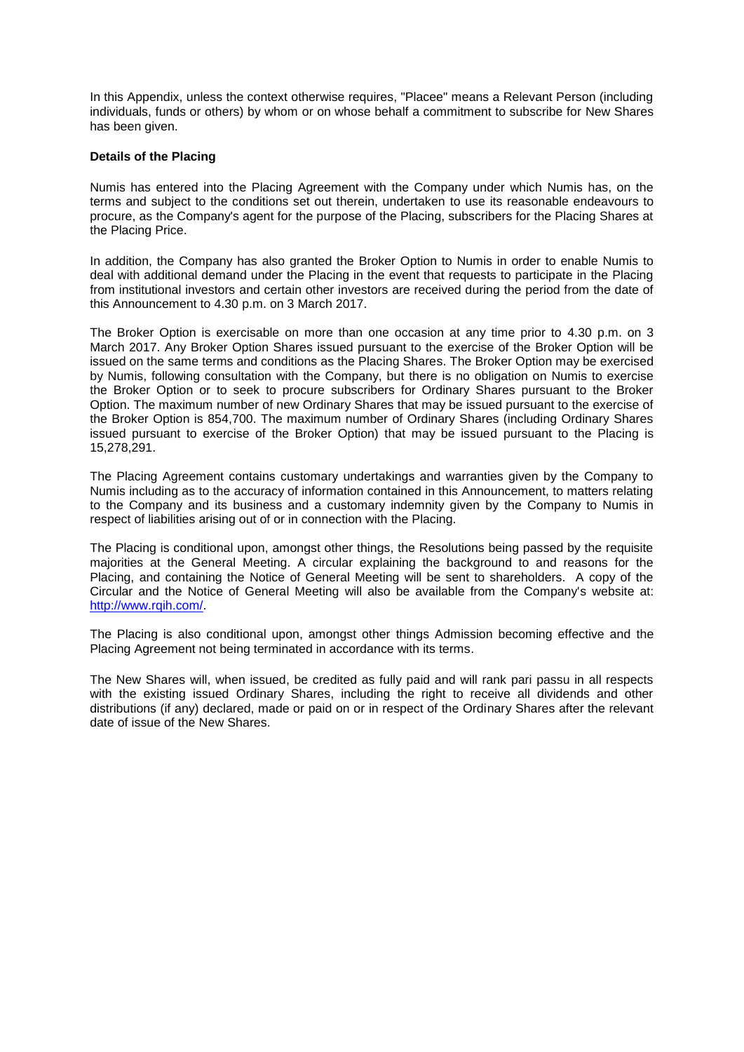In this Appendix, unless the context otherwise requires, "Placee" means a Relevant Person (including individuals, funds or others) by whom or on whose behalf a commitment to subscribe for New Shares has been given.

# **Details of the Placing**

Numis has entered into the Placing Agreement with the Company under which Numis has, on the terms and subject to the conditions set out therein, undertaken to use its reasonable endeavours to procure, as the Company's agent for the purpose of the Placing, subscribers for the Placing Shares at the Placing Price.

In addition, the Company has also granted the Broker Option to Numis in order to enable Numis to deal with additional demand under the Placing in the event that requests to participate in the Placing from institutional investors and certain other investors are received during the period from the date of this Announcement to 4.30 p.m. on 3 March 2017.

The Broker Option is exercisable on more than one occasion at any time prior to 4.30 p.m. on 3 March 2017. Any Broker Option Shares issued pursuant to the exercise of the Broker Option will be issued on the same terms and conditions as the Placing Shares. The Broker Option may be exercised by Numis, following consultation with the Company, but there is no obligation on Numis to exercise the Broker Option or to seek to procure subscribers for Ordinary Shares pursuant to the Broker Option. The maximum number of new Ordinary Shares that may be issued pursuant to the exercise of the Broker Option is 854,700. The maximum number of Ordinary Shares (including Ordinary Shares issued pursuant to exercise of the Broker Option) that may be issued pursuant to the Placing is 15,278,291.

The Placing Agreement contains customary undertakings and warranties given by the Company to Numis including as to the accuracy of information contained in this Announcement, to matters relating to the Company and its business and a customary indemnity given by the Company to Numis in respect of liabilities arising out of or in connection with the Placing.

The Placing is conditional upon, amongst other things, the Resolutions being passed by the requisite majorities at the General Meeting. A circular explaining the background to and reasons for the Placing, and containing the Notice of General Meeting will be sent to shareholders. A copy of the Circular and the Notice of General Meeting will also be available from the Company's website at: [http://www.rqih.com/.](http://www.rqih.com/)

The Placing is also conditional upon, amongst other things Admission becoming effective and the Placing Agreement not being terminated in accordance with its terms.

The New Shares will, when issued, be credited as fully paid and will rank pari passu in all respects with the existing issued Ordinary Shares, including the right to receive all dividends and other distributions (if any) declared, made or paid on or in respect of the Ordinary Shares after the relevant date of issue of the New Shares.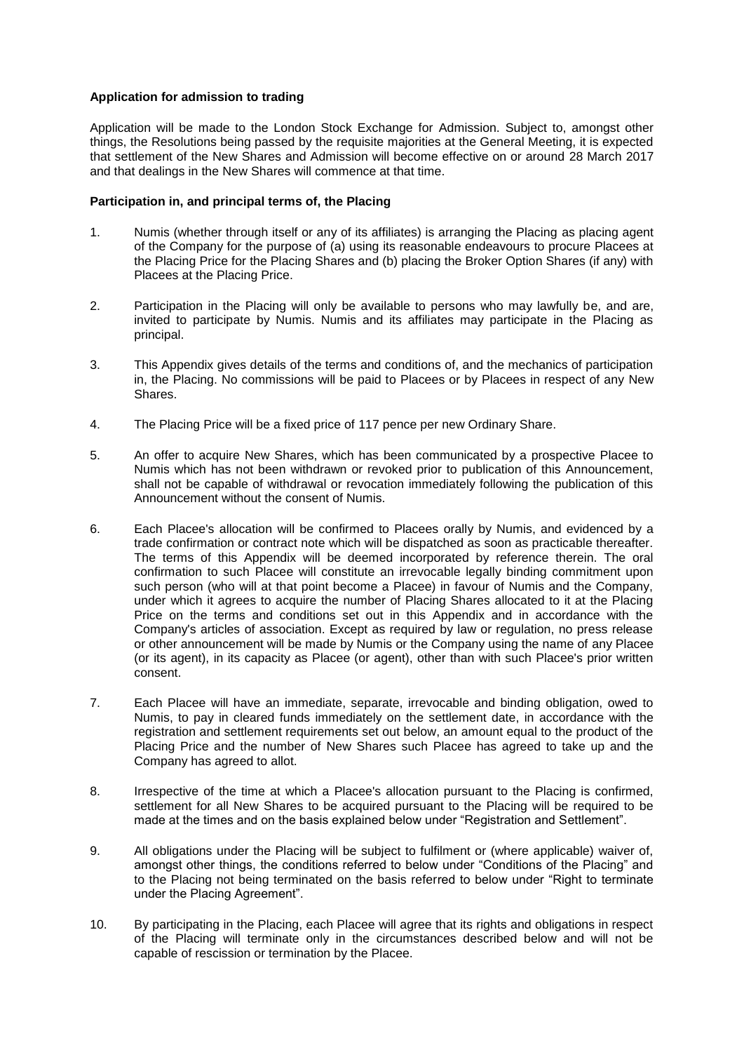# **Application for admission to trading**

Application will be made to the London Stock Exchange for Admission. Subject to, amongst other things, the Resolutions being passed by the requisite majorities at the General Meeting, it is expected that settlement of the New Shares and Admission will become effective on or around 28 March 2017 and that dealings in the New Shares will commence at that time.

#### **Participation in, and principal terms of, the Placing**

- 1. Numis (whether through itself or any of its affiliates) is arranging the Placing as placing agent of the Company for the purpose of (a) using its reasonable endeavours to procure Placees at the Placing Price for the Placing Shares and (b) placing the Broker Option Shares (if any) with Placees at the Placing Price.
- 2. Participation in the Placing will only be available to persons who may lawfully be, and are, invited to participate by Numis. Numis and its affiliates may participate in the Placing as principal.
- 3. This Appendix gives details of the terms and conditions of, and the mechanics of participation in, the Placing. No commissions will be paid to Placees or by Placees in respect of any New Shares.
- 4. The Placing Price will be a fixed price of 117 pence per new Ordinary Share.
- 5. An offer to acquire New Shares, which has been communicated by a prospective Placee to Numis which has not been withdrawn or revoked prior to publication of this Announcement, shall not be capable of withdrawal or revocation immediately following the publication of this Announcement without the consent of Numis.
- 6. Each Placee's allocation will be confirmed to Placees orally by Numis, and evidenced by a trade confirmation or contract note which will be dispatched as soon as practicable thereafter. The terms of this Appendix will be deemed incorporated by reference therein. The oral confirmation to such Placee will constitute an irrevocable legally binding commitment upon such person (who will at that point become a Placee) in favour of Numis and the Company, under which it agrees to acquire the number of Placing Shares allocated to it at the Placing Price on the terms and conditions set out in this Appendix and in accordance with the Company's articles of association. Except as required by law or regulation, no press release or other announcement will be made by Numis or the Company using the name of any Placee (or its agent), in its capacity as Placee (or agent), other than with such Placee's prior written consent.
- 7. Each Placee will have an immediate, separate, irrevocable and binding obligation, owed to Numis, to pay in cleared funds immediately on the settlement date, in accordance with the registration and settlement requirements set out below, an amount equal to the product of the Placing Price and the number of New Shares such Placee has agreed to take up and the Company has agreed to allot.
- 8. Irrespective of the time at which a Placee's allocation pursuant to the Placing is confirmed, settlement for all New Shares to be acquired pursuant to the Placing will be required to be made at the times and on the basis explained below under "Registration and Settlement".
- 9. All obligations under the Placing will be subject to fulfilment or (where applicable) waiver of, amongst other things, the conditions referred to below under "Conditions of the Placing" and to the Placing not being terminated on the basis referred to below under "Right to terminate under the Placing Agreement".
- 10. By participating in the Placing, each Placee will agree that its rights and obligations in respect of the Placing will terminate only in the circumstances described below and will not be capable of rescission or termination by the Placee.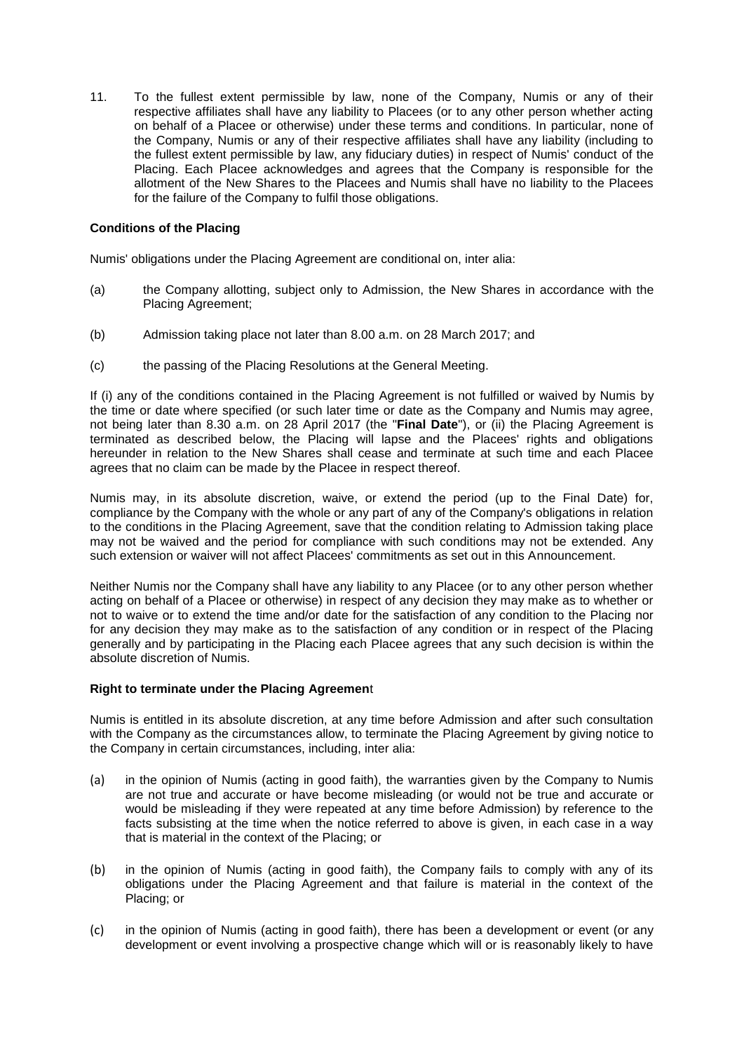11. To the fullest extent permissible by law, none of the Company, Numis or any of their respective affiliates shall have any liability to Placees (or to any other person whether acting on behalf of a Placee or otherwise) under these terms and conditions. In particular, none of the Company, Numis or any of their respective affiliates shall have any liability (including to the fullest extent permissible by law, any fiduciary duties) in respect of Numis' conduct of the Placing. Each Placee acknowledges and agrees that the Company is responsible for the allotment of the New Shares to the Placees and Numis shall have no liability to the Placees for the failure of the Company to fulfil those obligations.

# **Conditions of the Placing**

Numis' obligations under the Placing Agreement are conditional on, inter alia:

- (a) the Company allotting, subject only to Admission, the New Shares in accordance with the Placing Agreement;
- (b) Admission taking place not later than 8.00 a.m. on 28 March 2017; and
- (c) the passing of the Placing Resolutions at the General Meeting.

If (i) any of the conditions contained in the Placing Agreement is not fulfilled or waived by Numis by the time or date where specified (or such later time or date as the Company and Numis may agree, not being later than 8.30 a.m. on 28 April 2017 (the "**Final Date**"), or (ii) the Placing Agreement is terminated as described below, the Placing will lapse and the Placees' rights and obligations hereunder in relation to the New Shares shall cease and terminate at such time and each Placee agrees that no claim can be made by the Placee in respect thereof.

Numis may, in its absolute discretion, waive, or extend the period (up to the Final Date) for, compliance by the Company with the whole or any part of any of the Company's obligations in relation to the conditions in the Placing Agreement, save that the condition relating to Admission taking place may not be waived and the period for compliance with such conditions may not be extended. Any such extension or waiver will not affect Placees' commitments as set out in this Announcement.

Neither Numis nor the Company shall have any liability to any Placee (or to any other person whether acting on behalf of a Placee or otherwise) in respect of any decision they may make as to whether or not to waive or to extend the time and/or date for the satisfaction of any condition to the Placing nor for any decision they may make as to the satisfaction of any condition or in respect of the Placing generally and by participating in the Placing each Placee agrees that any such decision is within the absolute discretion of Numis.

#### **Right to terminate under the Placing Agreemen**t

Numis is entitled in its absolute discretion, at any time before Admission and after such consultation with the Company as the circumstances allow, to terminate the Placing Agreement by giving notice to the Company in certain circumstances, including, inter alia:

- (a) in the opinion of Numis (acting in good faith), the warranties given by the Company to Numis are not true and accurate or have become misleading (or would not be true and accurate or would be misleading if they were repeated at any time before Admission) by reference to the facts subsisting at the time when the notice referred to above is given, in each case in a way that is material in the context of the Placing; or
- (b) in the opinion of Numis (acting in good faith), the Company fails to comply with any of its obligations under the Placing Agreement and that failure is material in the context of the Placing; or
- (c) in the opinion of Numis (acting in good faith), there has been a development or event (or any development or event involving a prospective change which will or is reasonably likely to have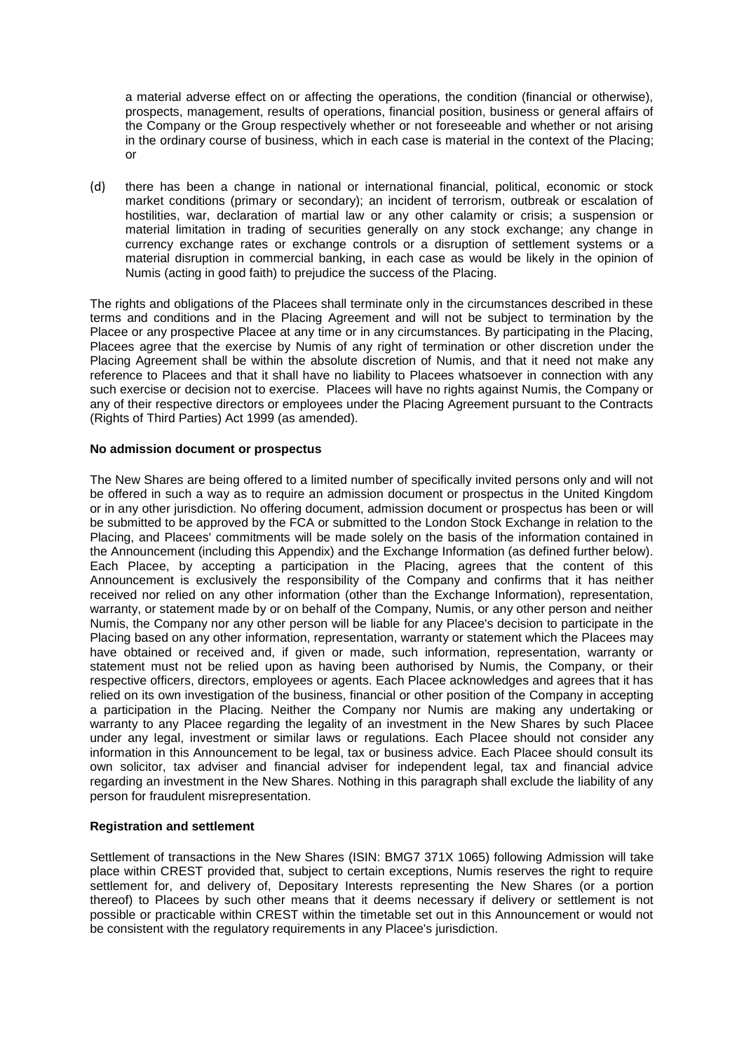a material adverse effect on or affecting the operations, the condition (financial or otherwise), prospects, management, results of operations, financial position, business or general affairs of the Company or the Group respectively whether or not foreseeable and whether or not arising in the ordinary course of business, which in each case is material in the context of the Placing; or

(d) there has been a change in national or international financial, political, economic or stock market conditions (primary or secondary); an incident of terrorism, outbreak or escalation of hostilities, war, declaration of martial law or any other calamity or crisis; a suspension or material limitation in trading of securities generally on any stock exchange; any change in currency exchange rates or exchange controls or a disruption of settlement systems or a material disruption in commercial banking, in each case as would be likely in the opinion of Numis (acting in good faith) to prejudice the success of the Placing.

The rights and obligations of the Placees shall terminate only in the circumstances described in these terms and conditions and in the Placing Agreement and will not be subject to termination by the Placee or any prospective Placee at any time or in any circumstances. By participating in the Placing, Placees agree that the exercise by Numis of any right of termination or other discretion under the Placing Agreement shall be within the absolute discretion of Numis, and that it need not make any reference to Placees and that it shall have no liability to Placees whatsoever in connection with any such exercise or decision not to exercise. Placees will have no rights against Numis, the Company or any of their respective directors or employees under the Placing Agreement pursuant to the Contracts (Rights of Third Parties) Act 1999 (as amended).

#### **No admission document or prospectus**

The New Shares are being offered to a limited number of specifically invited persons only and will not be offered in such a way as to require an admission document or prospectus in the United Kingdom or in any other jurisdiction. No offering document, admission document or prospectus has been or will be submitted to be approved by the FCA or submitted to the London Stock Exchange in relation to the Placing, and Placees' commitments will be made solely on the basis of the information contained in the Announcement (including this Appendix) and the Exchange Information (as defined further below). Each Placee, by accepting a participation in the Placing, agrees that the content of this Announcement is exclusively the responsibility of the Company and confirms that it has neither received nor relied on any other information (other than the Exchange Information), representation, warranty, or statement made by or on behalf of the Company, Numis, or any other person and neither Numis, the Company nor any other person will be liable for any Placee's decision to participate in the Placing based on any other information, representation, warranty or statement which the Placees may have obtained or received and, if given or made, such information, representation, warranty or statement must not be relied upon as having been authorised by Numis, the Company, or their respective officers, directors, employees or agents. Each Placee acknowledges and agrees that it has relied on its own investigation of the business, financial or other position of the Company in accepting a participation in the Placing. Neither the Company nor Numis are making any undertaking or warranty to any Placee regarding the legality of an investment in the New Shares by such Placee under any legal, investment or similar laws or regulations. Each Placee should not consider any information in this Announcement to be legal, tax or business advice. Each Placee should consult its own solicitor, tax adviser and financial adviser for independent legal, tax and financial advice regarding an investment in the New Shares. Nothing in this paragraph shall exclude the liability of any person for fraudulent misrepresentation.

#### **Registration and settlement**

Settlement of transactions in the New Shares (ISIN: BMG7 371X 1065) following Admission will take place within CREST provided that, subject to certain exceptions, Numis reserves the right to require settlement for, and delivery of, Depositary Interests representing the New Shares (or a portion thereof) to Placees by such other means that it deems necessary if delivery or settlement is not possible or practicable within CREST within the timetable set out in this Announcement or would not be consistent with the regulatory requirements in any Placee's jurisdiction.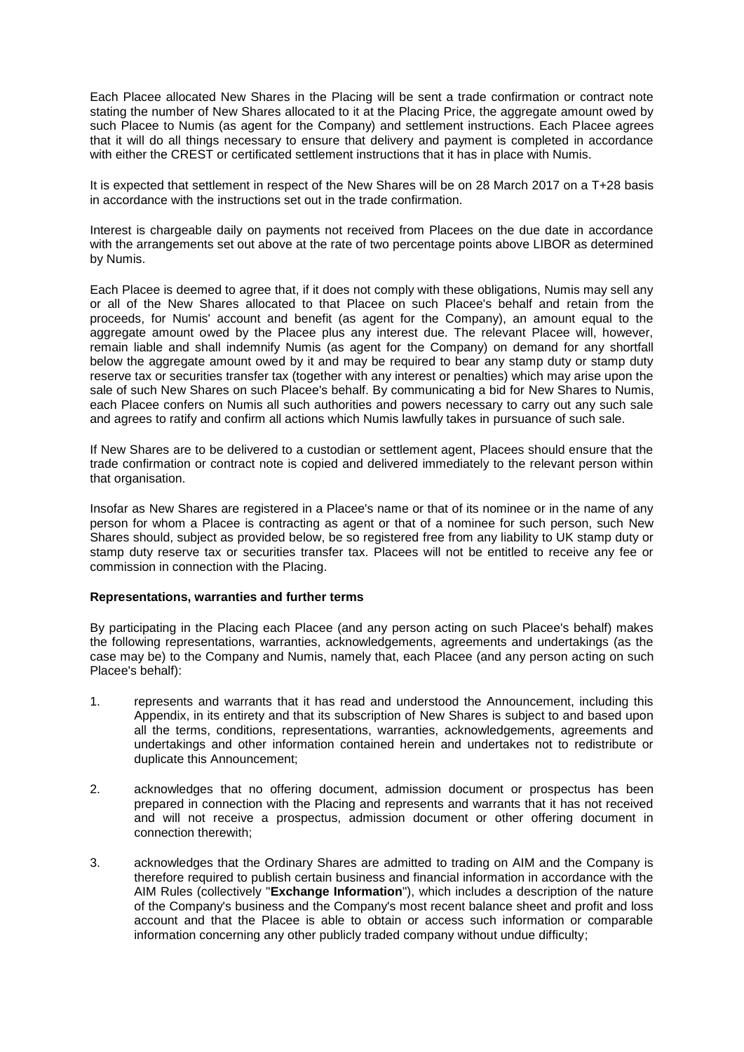Each Placee allocated New Shares in the Placing will be sent a trade confirmation or contract note stating the number of New Shares allocated to it at the Placing Price, the aggregate amount owed by such Placee to Numis (as agent for the Company) and settlement instructions. Each Placee agrees that it will do all things necessary to ensure that delivery and payment is completed in accordance with either the CREST or certificated settlement instructions that it has in place with Numis.

It is expected that settlement in respect of the New Shares will be on 28 March 2017 on a T+28 basis in accordance with the instructions set out in the trade confirmation.

Interest is chargeable daily on payments not received from Placees on the due date in accordance with the arrangements set out above at the rate of two percentage points above LIBOR as determined by Numis.

Each Placee is deemed to agree that, if it does not comply with these obligations, Numis may sell any or all of the New Shares allocated to that Placee on such Placee's behalf and retain from the proceeds, for Numis' account and benefit (as agent for the Company), an amount equal to the aggregate amount owed by the Placee plus any interest due. The relevant Placee will, however, remain liable and shall indemnify Numis (as agent for the Company) on demand for any shortfall below the aggregate amount owed by it and may be required to bear any stamp duty or stamp duty reserve tax or securities transfer tax (together with any interest or penalties) which may arise upon the sale of such New Shares on such Placee's behalf. By communicating a bid for New Shares to Numis, each Placee confers on Numis all such authorities and powers necessary to carry out any such sale and agrees to ratify and confirm all actions which Numis lawfully takes in pursuance of such sale.

If New Shares are to be delivered to a custodian or settlement agent, Placees should ensure that the trade confirmation or contract note is copied and delivered immediately to the relevant person within that organisation.

Insofar as New Shares are registered in a Placee's name or that of its nominee or in the name of any person for whom a Placee is contracting as agent or that of a nominee for such person, such New Shares should, subject as provided below, be so registered free from any liability to UK stamp duty or stamp duty reserve tax or securities transfer tax. Placees will not be entitled to receive any fee or commission in connection with the Placing.

# **Representations, warranties and further terms**

By participating in the Placing each Placee (and any person acting on such Placee's behalf) makes the following representations, warranties, acknowledgements, agreements and undertakings (as the case may be) to the Company and Numis, namely that, each Placee (and any person acting on such Placee's behalf):

- 1. represents and warrants that it has read and understood the Announcement, including this Appendix, in its entirety and that its subscription of New Shares is subject to and based upon all the terms, conditions, representations, warranties, acknowledgements, agreements and undertakings and other information contained herein and undertakes not to redistribute or duplicate this Announcement;
- 2. acknowledges that no offering document, admission document or prospectus has been prepared in connection with the Placing and represents and warrants that it has not received and will not receive a prospectus, admission document or other offering document in connection therewith;
- 3. acknowledges that the Ordinary Shares are admitted to trading on AIM and the Company is therefore required to publish certain business and financial information in accordance with the AIM Rules (collectively "**Exchange Information**"), which includes a description of the nature of the Company's business and the Company's most recent balance sheet and profit and loss account and that the Placee is able to obtain or access such information or comparable information concerning any other publicly traded company without undue difficulty;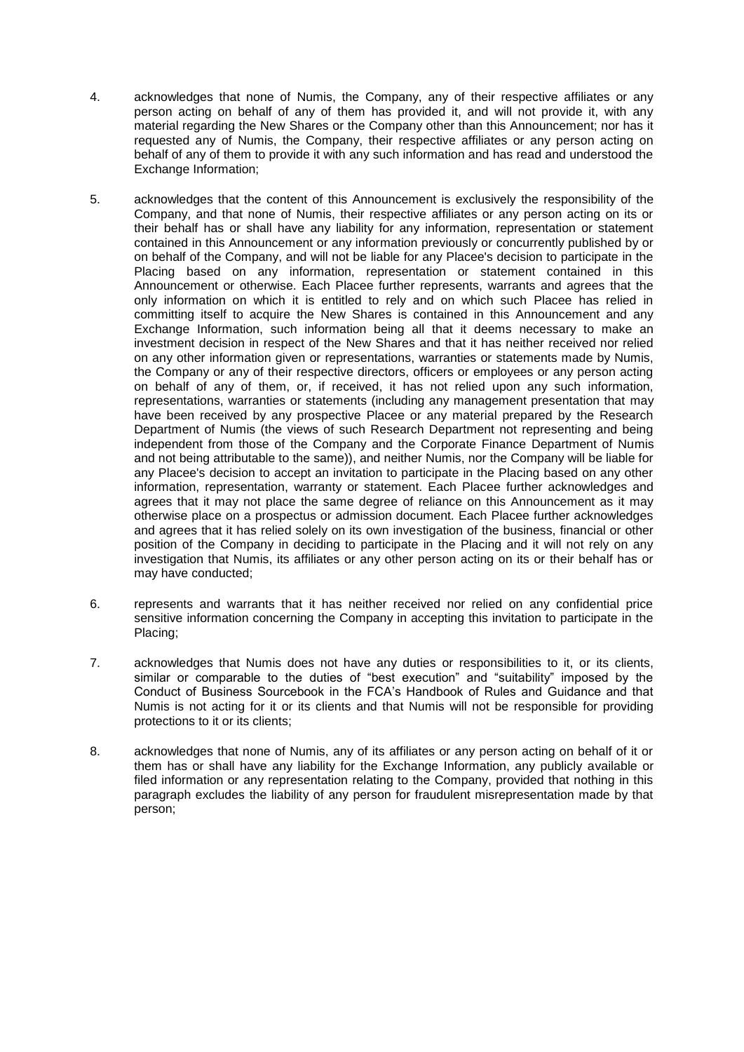- 4. acknowledges that none of Numis, the Company, any of their respective affiliates or any person acting on behalf of any of them has provided it, and will not provide it, with any material regarding the New Shares or the Company other than this Announcement; nor has it requested any of Numis, the Company, their respective affiliates or any person acting on behalf of any of them to provide it with any such information and has read and understood the Exchange Information;
- 5. acknowledges that the content of this Announcement is exclusively the responsibility of the Company, and that none of Numis, their respective affiliates or any person acting on its or their behalf has or shall have any liability for any information, representation or statement contained in this Announcement or any information previously or concurrently published by or on behalf of the Company, and will not be liable for any Placee's decision to participate in the Placing based on any information, representation or statement contained in this Announcement or otherwise. Each Placee further represents, warrants and agrees that the only information on which it is entitled to rely and on which such Placee has relied in committing itself to acquire the New Shares is contained in this Announcement and any Exchange Information, such information being all that it deems necessary to make an investment decision in respect of the New Shares and that it has neither received nor relied on any other information given or representations, warranties or statements made by Numis, the Company or any of their respective directors, officers or employees or any person acting on behalf of any of them, or, if received, it has not relied upon any such information, representations, warranties or statements (including any management presentation that may have been received by any prospective Placee or any material prepared by the Research Department of Numis (the views of such Research Department not representing and being independent from those of the Company and the Corporate Finance Department of Numis and not being attributable to the same)), and neither Numis, nor the Company will be liable for any Placee's decision to accept an invitation to participate in the Placing based on any other information, representation, warranty or statement. Each Placee further acknowledges and agrees that it may not place the same degree of reliance on this Announcement as it may otherwise place on a prospectus or admission document. Each Placee further acknowledges and agrees that it has relied solely on its own investigation of the business, financial or other position of the Company in deciding to participate in the Placing and it will not rely on any investigation that Numis, its affiliates or any other person acting on its or their behalf has or may have conducted;
- 6. represents and warrants that it has neither received nor relied on any confidential price sensitive information concerning the Company in accepting this invitation to participate in the Placing;
- 7. acknowledges that Numis does not have any duties or responsibilities to it, or its clients, similar or comparable to the duties of "best execution" and "suitability" imposed by the Conduct of Business Sourcebook in the FCA's Handbook of Rules and Guidance and that Numis is not acting for it or its clients and that Numis will not be responsible for providing protections to it or its clients;
- 8. acknowledges that none of Numis, any of its affiliates or any person acting on behalf of it or them has or shall have any liability for the Exchange Information, any publicly available or filed information or any representation relating to the Company, provided that nothing in this paragraph excludes the liability of any person for fraudulent misrepresentation made by that person;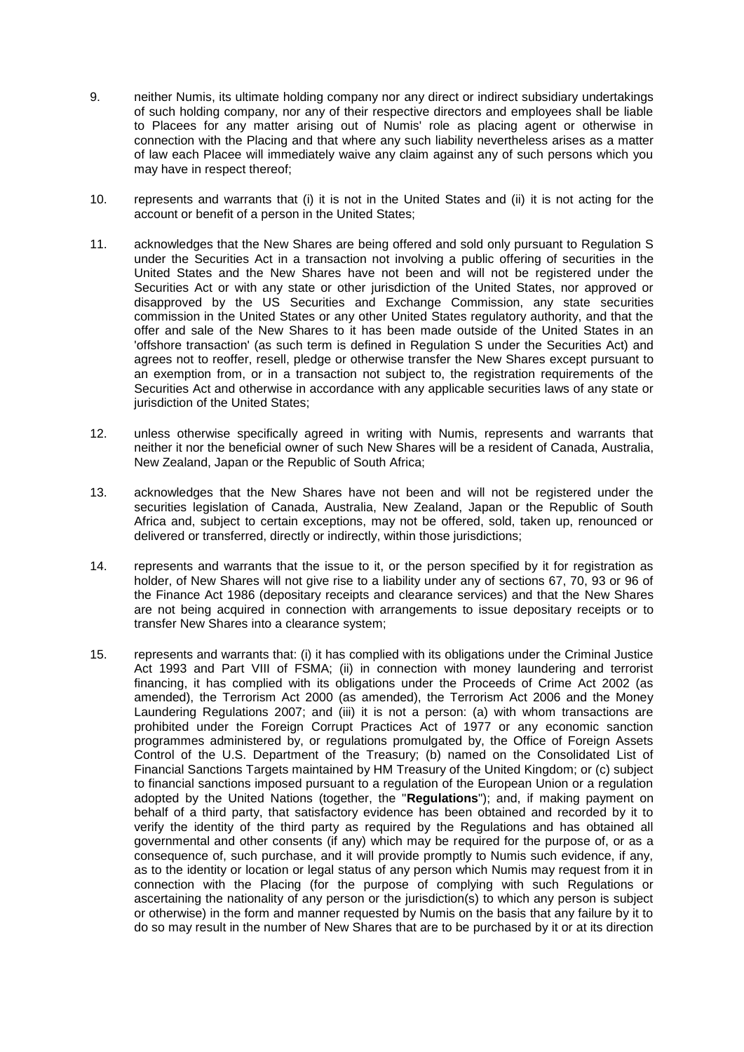- 9. neither Numis, its ultimate holding company nor any direct or indirect subsidiary undertakings of such holding company, nor any of their respective directors and employees shall be liable to Placees for any matter arising out of Numis' role as placing agent or otherwise in connection with the Placing and that where any such liability nevertheless arises as a matter of law each Placee will immediately waive any claim against any of such persons which you may have in respect thereof;
- 10. represents and warrants that (i) it is not in the United States and (ii) it is not acting for the account or benefit of a person in the United States;
- 11. acknowledges that the New Shares are being offered and sold only pursuant to Regulation S under the Securities Act in a transaction not involving a public offering of securities in the United States and the New Shares have not been and will not be registered under the Securities Act or with any state or other jurisdiction of the United States, nor approved or disapproved by the US Securities and Exchange Commission, any state securities commission in the United States or any other United States regulatory authority, and that the offer and sale of the New Shares to it has been made outside of the United States in an 'offshore transaction' (as such term is defined in Regulation S under the Securities Act) and agrees not to reoffer, resell, pledge or otherwise transfer the New Shares except pursuant to an exemption from, or in a transaction not subject to, the registration requirements of the Securities Act and otherwise in accordance with any applicable securities laws of any state or jurisdiction of the United States;
- 12. unless otherwise specifically agreed in writing with Numis, represents and warrants that neither it nor the beneficial owner of such New Shares will be a resident of Canada, Australia, New Zealand, Japan or the Republic of South Africa;
- 13. acknowledges that the New Shares have not been and will not be registered under the securities legislation of Canada, Australia, New Zealand, Japan or the Republic of South Africa and, subject to certain exceptions, may not be offered, sold, taken up, renounced or delivered or transferred, directly or indirectly, within those jurisdictions;
- 14. represents and warrants that the issue to it, or the person specified by it for registration as holder, of New Shares will not give rise to a liability under any of sections 67, 70, 93 or 96 of the Finance Act 1986 (depositary receipts and clearance services) and that the New Shares are not being acquired in connection with arrangements to issue depositary receipts or to transfer New Shares into a clearance system;
- 15. represents and warrants that: (i) it has complied with its obligations under the Criminal Justice Act 1993 and Part VIII of FSMA; (ii) in connection with money laundering and terrorist financing, it has complied with its obligations under the Proceeds of Crime Act 2002 (as amended), the Terrorism Act 2000 (as amended), the Terrorism Act 2006 and the Money Laundering Regulations 2007; and (iii) it is not a person: (a) with whom transactions are prohibited under the Foreign Corrupt Practices Act of 1977 or any economic sanction programmes administered by, or regulations promulgated by, the Office of Foreign Assets Control of the U.S. Department of the Treasury; (b) named on the Consolidated List of Financial Sanctions Targets maintained by HM Treasury of the United Kingdom; or (c) subject to financial sanctions imposed pursuant to a regulation of the European Union or a regulation adopted by the United Nations (together, the "**Regulations**"); and, if making payment on behalf of a third party, that satisfactory evidence has been obtained and recorded by it to verify the identity of the third party as required by the Regulations and has obtained all governmental and other consents (if any) which may be required for the purpose of, or as a consequence of, such purchase, and it will provide promptly to Numis such evidence, if any, as to the identity or location or legal status of any person which Numis may request from it in connection with the Placing (for the purpose of complying with such Regulations or ascertaining the nationality of any person or the jurisdiction(s) to which any person is subject or otherwise) in the form and manner requested by Numis on the basis that any failure by it to do so may result in the number of New Shares that are to be purchased by it or at its direction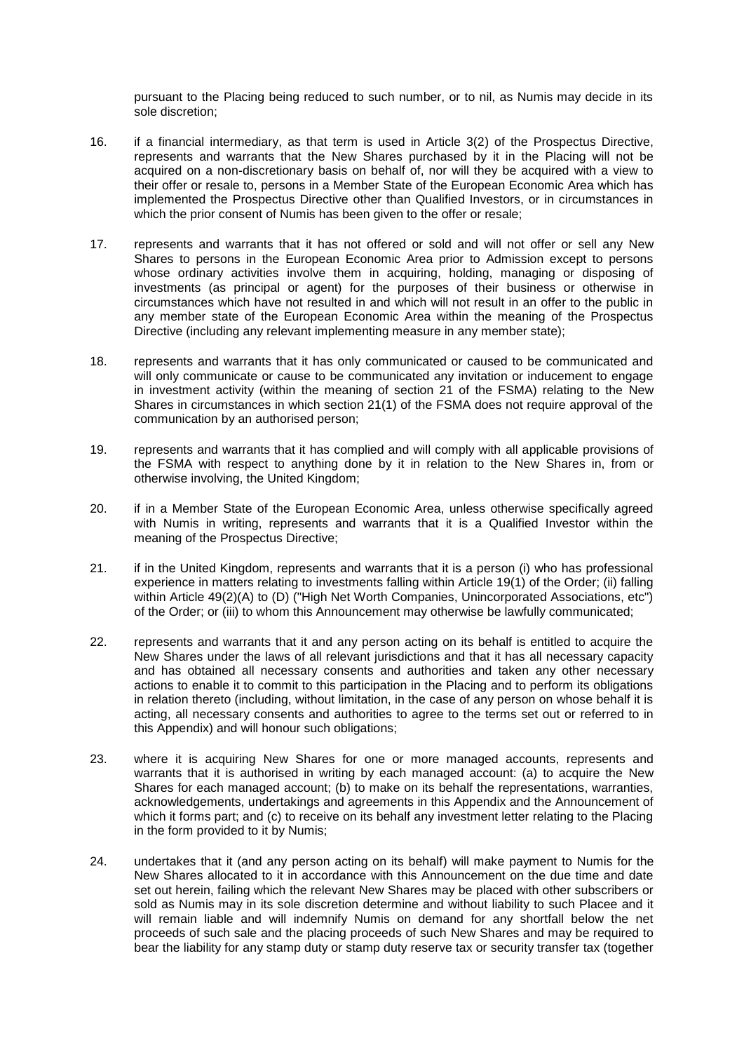pursuant to the Placing being reduced to such number, or to nil, as Numis may decide in its sole discretion;

- 16. if a financial intermediary, as that term is used in Article 3(2) of the Prospectus Directive, represents and warrants that the New Shares purchased by it in the Placing will not be acquired on a non-discretionary basis on behalf of, nor will they be acquired with a view to their offer or resale to, persons in a Member State of the European Economic Area which has implemented the Prospectus Directive other than Qualified Investors, or in circumstances in which the prior consent of Numis has been given to the offer or resale;
- 17. represents and warrants that it has not offered or sold and will not offer or sell any New Shares to persons in the European Economic Area prior to Admission except to persons whose ordinary activities involve them in acquiring, holding, managing or disposing of investments (as principal or agent) for the purposes of their business or otherwise in circumstances which have not resulted in and which will not result in an offer to the public in any member state of the European Economic Area within the meaning of the Prospectus Directive (including any relevant implementing measure in any member state);
- 18. represents and warrants that it has only communicated or caused to be communicated and will only communicate or cause to be communicated any invitation or inducement to engage in investment activity (within the meaning of section 21 of the FSMA) relating to the New Shares in circumstances in which section 21(1) of the FSMA does not require approval of the communication by an authorised person;
- 19. represents and warrants that it has complied and will comply with all applicable provisions of the FSMA with respect to anything done by it in relation to the New Shares in, from or otherwise involving, the United Kingdom;
- 20. if in a Member State of the European Economic Area, unless otherwise specifically agreed with Numis in writing, represents and warrants that it is a Qualified Investor within the meaning of the Prospectus Directive;
- 21. if in the United Kingdom, represents and warrants that it is a person (i) who has professional experience in matters relating to investments falling within Article 19(1) of the Order; (ii) falling within Article 49(2)(A) to (D) ("High Net Worth Companies, Unincorporated Associations. etc") of the Order; or (iii) to whom this Announcement may otherwise be lawfully communicated;
- 22. represents and warrants that it and any person acting on its behalf is entitled to acquire the New Shares under the laws of all relevant jurisdictions and that it has all necessary capacity and has obtained all necessary consents and authorities and taken any other necessary actions to enable it to commit to this participation in the Placing and to perform its obligations in relation thereto (including, without limitation, in the case of any person on whose behalf it is acting, all necessary consents and authorities to agree to the terms set out or referred to in this Appendix) and will honour such obligations;
- 23. where it is acquiring New Shares for one or more managed accounts, represents and warrants that it is authorised in writing by each managed account: (a) to acquire the New Shares for each managed account; (b) to make on its behalf the representations, warranties, acknowledgements, undertakings and agreements in this Appendix and the Announcement of which it forms part; and (c) to receive on its behalf any investment letter relating to the Placing in the form provided to it by Numis;
- 24. undertakes that it (and any person acting on its behalf) will make payment to Numis for the New Shares allocated to it in accordance with this Announcement on the due time and date set out herein, failing which the relevant New Shares may be placed with other subscribers or sold as Numis may in its sole discretion determine and without liability to such Placee and it will remain liable and will indemnify Numis on demand for any shortfall below the net proceeds of such sale and the placing proceeds of such New Shares and may be required to bear the liability for any stamp duty or stamp duty reserve tax or security transfer tax (together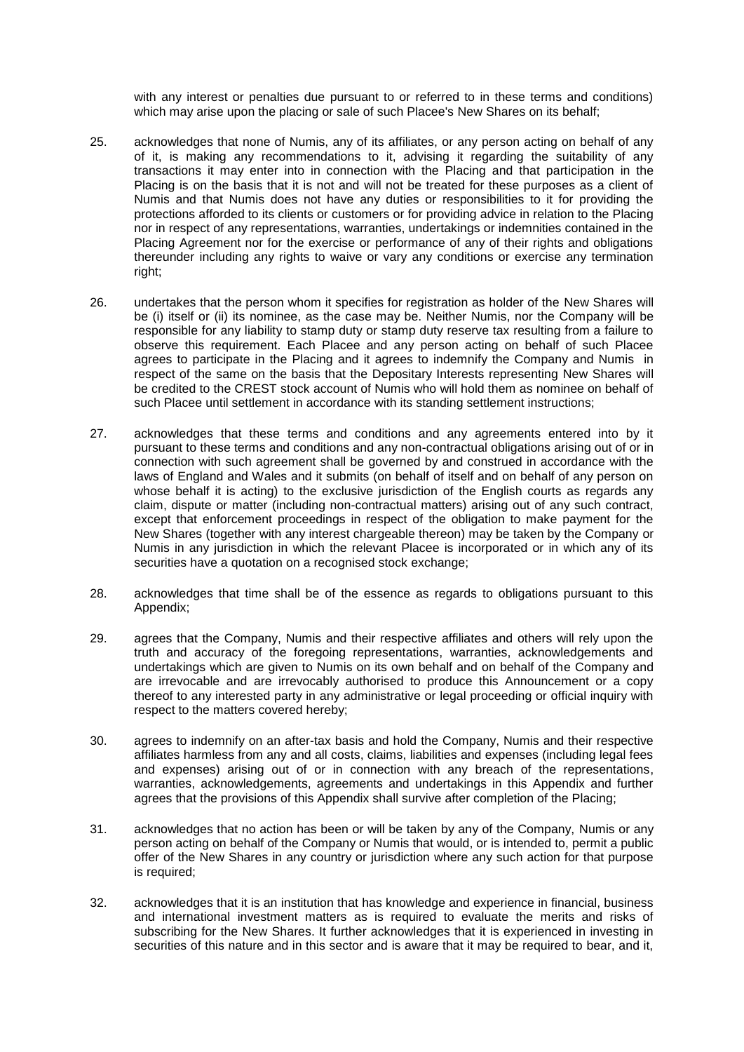with any interest or penalties due pursuant to or referred to in these terms and conditions) which may arise upon the placing or sale of such Placee's New Shares on its behalf;

- 25. acknowledges that none of Numis, any of its affiliates, or any person acting on behalf of any of it, is making any recommendations to it, advising it regarding the suitability of any transactions it may enter into in connection with the Placing and that participation in the Placing is on the basis that it is not and will not be treated for these purposes as a client of Numis and that Numis does not have any duties or responsibilities to it for providing the protections afforded to its clients or customers or for providing advice in relation to the Placing nor in respect of any representations, warranties, undertakings or indemnities contained in the Placing Agreement nor for the exercise or performance of any of their rights and obligations thereunder including any rights to waive or vary any conditions or exercise any termination right;
- 26. undertakes that the person whom it specifies for registration as holder of the New Shares will be (i) itself or (ii) its nominee, as the case may be. Neither Numis, nor the Company will be responsible for any liability to stamp duty or stamp duty reserve tax resulting from a failure to observe this requirement. Each Placee and any person acting on behalf of such Placee agrees to participate in the Placing and it agrees to indemnify the Company and Numis in respect of the same on the basis that the Depositary Interests representing New Shares will be credited to the CREST stock account of Numis who will hold them as nominee on behalf of such Placee until settlement in accordance with its standing settlement instructions;
- 27. acknowledges that these terms and conditions and any agreements entered into by it pursuant to these terms and conditions and any non-contractual obligations arising out of or in connection with such agreement shall be governed by and construed in accordance with the laws of England and Wales and it submits (on behalf of itself and on behalf of any person on whose behalf it is acting) to the exclusive jurisdiction of the English courts as regards any claim, dispute or matter (including non-contractual matters) arising out of any such contract, except that enforcement proceedings in respect of the obligation to make payment for the New Shares (together with any interest chargeable thereon) may be taken by the Company or Numis in any jurisdiction in which the relevant Placee is incorporated or in which any of its securities have a quotation on a recognised stock exchange;
- 28. acknowledges that time shall be of the essence as regards to obligations pursuant to this Appendix;
- 29. agrees that the Company, Numis and their respective affiliates and others will rely upon the truth and accuracy of the foregoing representations, warranties, acknowledgements and undertakings which are given to Numis on its own behalf and on behalf of the Company and are irrevocable and are irrevocably authorised to produce this Announcement or a copy thereof to any interested party in any administrative or legal proceeding or official inquiry with respect to the matters covered hereby;
- 30. agrees to indemnify on an after-tax basis and hold the Company, Numis and their respective affiliates harmless from any and all costs, claims, liabilities and expenses (including legal fees and expenses) arising out of or in connection with any breach of the representations, warranties, acknowledgements, agreements and undertakings in this Appendix and further agrees that the provisions of this Appendix shall survive after completion of the Placing;
- 31. acknowledges that no action has been or will be taken by any of the Company, Numis or any person acting on behalf of the Company or Numis that would, or is intended to, permit a public offer of the New Shares in any country or jurisdiction where any such action for that purpose is required;
- 32. acknowledges that it is an institution that has knowledge and experience in financial, business and international investment matters as is required to evaluate the merits and risks of subscribing for the New Shares. It further acknowledges that it is experienced in investing in securities of this nature and in this sector and is aware that it may be required to bear, and it,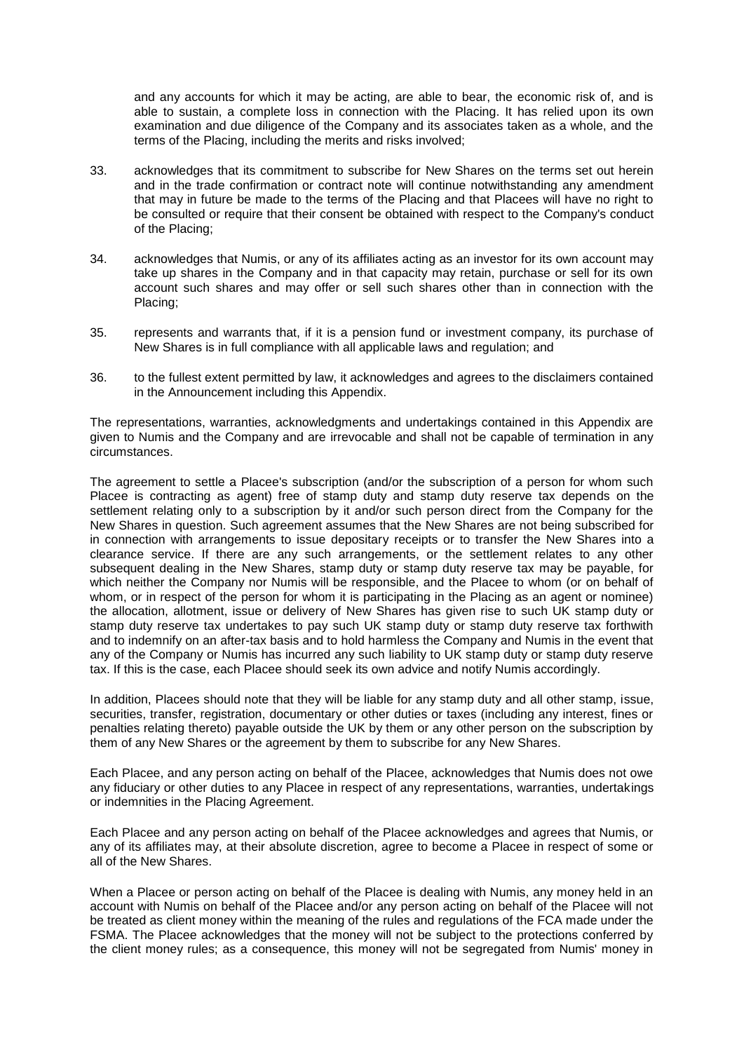and any accounts for which it may be acting, are able to bear, the economic risk of, and is able to sustain, a complete loss in connection with the Placing. It has relied upon its own examination and due diligence of the Company and its associates taken as a whole, and the terms of the Placing, including the merits and risks involved;

- 33. acknowledges that its commitment to subscribe for New Shares on the terms set out herein and in the trade confirmation or contract note will continue notwithstanding any amendment that may in future be made to the terms of the Placing and that Placees will have no right to be consulted or require that their consent be obtained with respect to the Company's conduct of the Placing;
- 34. acknowledges that Numis, or any of its affiliates acting as an investor for its own account may take up shares in the Company and in that capacity may retain, purchase or sell for its own account such shares and may offer or sell such shares other than in connection with the Placing;
- 35. represents and warrants that, if it is a pension fund or investment company, its purchase of New Shares is in full compliance with all applicable laws and regulation; and
- 36. to the fullest extent permitted by law, it acknowledges and agrees to the disclaimers contained in the Announcement including this Appendix.

The representations, warranties, acknowledgments and undertakings contained in this Appendix are given to Numis and the Company and are irrevocable and shall not be capable of termination in any circumstances.

The agreement to settle a Placee's subscription (and/or the subscription of a person for whom such Placee is contracting as agent) free of stamp duty and stamp duty reserve tax depends on the settlement relating only to a subscription by it and/or such person direct from the Company for the New Shares in question. Such agreement assumes that the New Shares are not being subscribed for in connection with arrangements to issue depositary receipts or to transfer the New Shares into a clearance service. If there are any such arrangements, or the settlement relates to any other subsequent dealing in the New Shares, stamp duty or stamp duty reserve tax may be payable, for which neither the Company nor Numis will be responsible, and the Placee to whom (or on behalf of whom, or in respect of the person for whom it is participating in the Placing as an agent or nominee) the allocation, allotment, issue or delivery of New Shares has given rise to such UK stamp duty or stamp duty reserve tax undertakes to pay such UK stamp duty or stamp duty reserve tax forthwith and to indemnify on an after-tax basis and to hold harmless the Company and Numis in the event that any of the Company or Numis has incurred any such liability to UK stamp duty or stamp duty reserve tax. If this is the case, each Placee should seek its own advice and notify Numis accordingly.

In addition, Placees should note that they will be liable for any stamp duty and all other stamp, issue, securities, transfer, registration, documentary or other duties or taxes (including any interest, fines or penalties relating thereto) payable outside the UK by them or any other person on the subscription by them of any New Shares or the agreement by them to subscribe for any New Shares.

Each Placee, and any person acting on behalf of the Placee, acknowledges that Numis does not owe any fiduciary or other duties to any Placee in respect of any representations, warranties, undertakings or indemnities in the Placing Agreement.

Each Placee and any person acting on behalf of the Placee acknowledges and agrees that Numis, or any of its affiliates may, at their absolute discretion, agree to become a Placee in respect of some or all of the New Shares.

When a Placee or person acting on behalf of the Placee is dealing with Numis, any money held in an account with Numis on behalf of the Placee and/or any person acting on behalf of the Placee will not be treated as client money within the meaning of the rules and regulations of the FCA made under the FSMA. The Placee acknowledges that the money will not be subject to the protections conferred by the client money rules; as a consequence, this money will not be segregated from Numis' money in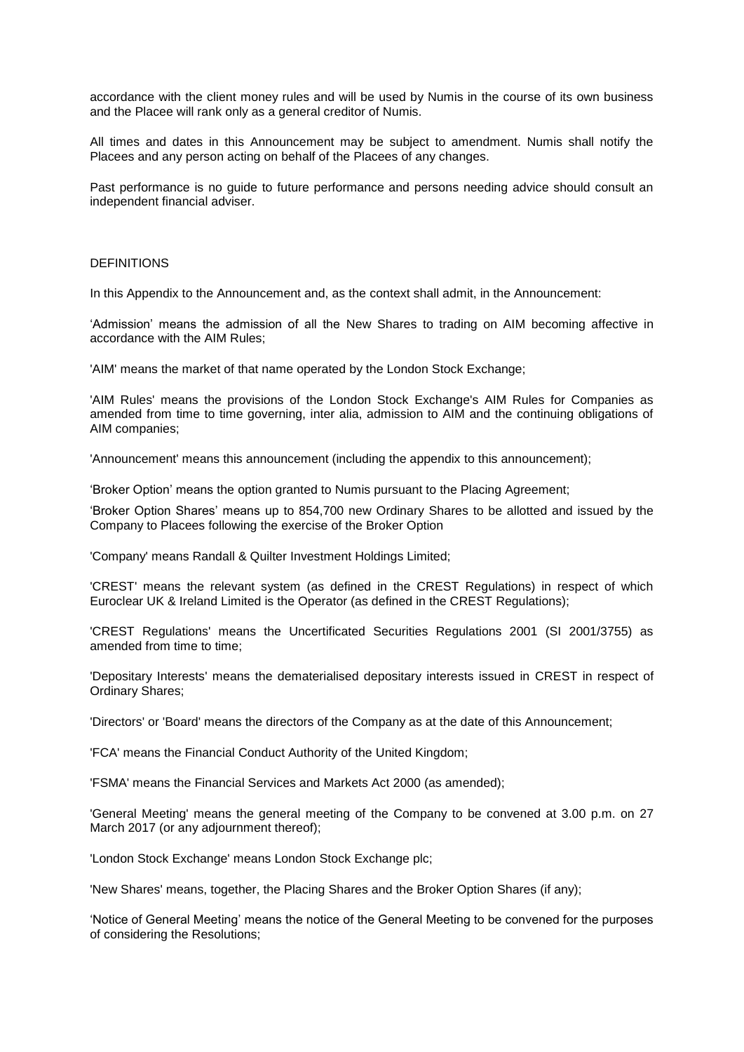accordance with the client money rules and will be used by Numis in the course of its own business and the Placee will rank only as a general creditor of Numis.

All times and dates in this Announcement may be subject to amendment. Numis shall notify the Placees and any person acting on behalf of the Placees of any changes.

Past performance is no guide to future performance and persons needing advice should consult an independent financial adviser.

#### **DEFINITIONS**

In this Appendix to the Announcement and, as the context shall admit, in the Announcement:

'Admission' means the admission of all the New Shares to trading on AIM becoming affective in accordance with the AIM Rules;

'AIM' means the market of that name operated by the London Stock Exchange;

'AIM Rules' means the provisions of the London Stock Exchange's AIM Rules for Companies as amended from time to time governing, inter alia, admission to AIM and the continuing obligations of AIM companies;

'Announcement' means this announcement (including the appendix to this announcement);

'Broker Option' means the option granted to Numis pursuant to the Placing Agreement;

'Broker Option Shares' means up to 854,700 new Ordinary Shares to be allotted and issued by the Company to Placees following the exercise of the Broker Option

'Company' means Randall & Quilter Investment Holdings Limited;

'CREST' means the relevant system (as defined in the CREST Regulations) in respect of which Euroclear UK & Ireland Limited is the Operator (as defined in the CREST Regulations);

'CREST Regulations' means the Uncertificated Securities Regulations 2001 (SI 2001/3755) as amended from time to time:

'Depositary Interests' means the dematerialised depositary interests issued in CREST in respect of Ordinary Shares;

'Directors' or 'Board' means the directors of the Company as at the date of this Announcement;

'FCA' means the Financial Conduct Authority of the United Kingdom;

'FSMA' means the Financial Services and Markets Act 2000 (as amended);

'General Meeting' means the general meeting of the Company to be convened at 3.00 p.m. on 27 March 2017 (or any adjournment thereof);

'London Stock Exchange' means London Stock Exchange plc;

'New Shares' means, together, the Placing Shares and the Broker Option Shares (if any);

'Notice of General Meeting' means the notice of the General Meeting to be convened for the purposes of considering the Resolutions;